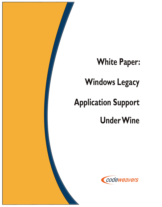

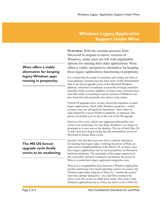## **Windows Legacy Application Support Under Wine**

**Overview:** With the constant pressure from Microsoft to migrate to newer versions of Windows, many users are left with unpalatable options for running their older applications. Wine offers a viable, inexpensive alternative for keeping these legacy applications functioning in perpetuity.

It is a truism that the needs of customers and vendors are often at cross-purposes. Nowhere has this been more vividly demonstrated than in the forced upgrade cycles of the Microsoft Windows platform, which have completely reversed the leverage customers normally wield over their suppliers. In many cases, end-users have seen little utility in switching to newer versions of Windows, but have been left with essentially zero choice in the matter.

Forced OS upgrades have, in turn, forced the migration of many legacy applications. These older Windows programs—which in many cases are still perfectly functional—must either be redeveloped for a newer Windows platform, or replaced. This places yet another cost on top of the cost of the OS upgrade.

However, this cycle, which once appeared unbreakable, now seems to be weakening. For one thing, Windows is no longer as dominant as it once was on the desktop. The rise of both Mac OS X and Linux have begun eating into the monopolistic power of Microsoft to dictate these cycles.

Second is the fact that users now have a realistic alternative for running their legacy apps. Utilizing the power of Wine, an open-source reimplementation of the Win32 OS, in many cases these legacy applications can be run in perpetuity on alternative hardware platforms. The remainder of this paper expains how this is possible, and how companies can harness the power of Wine to contain their legacy application migration costs.

Wine acts a compatability layer between a Windows application and the underlying Unix-based operating system. In essence, the Windows app makes requests to Wine (i.e. "repaint the screen," "provide a printer dialog box," etc.) and Wine instructs the native Unix OS on how to fulfill these needs. The result is that Windows applications run as if they are native to the UNIX OS.

**Wine offers a viable alternative for keeping legacy Windows apps running in perpetuity.**

## **The MS OS forcedupgrade cycle finally seems to be weakening.**